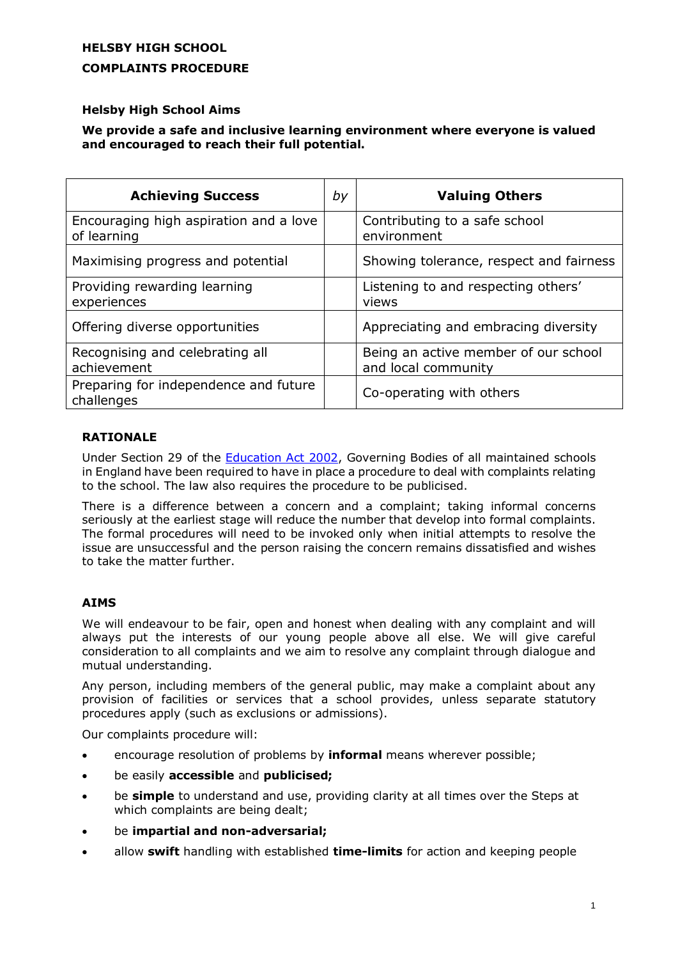# **HELSBY HIGH SCHOOL COMPLAINTS PROCEDURE**

# **Helsby High School Aims**

## **We provide a safe and inclusive learning environment where everyone is valued and encouraged to reach their full potential.**

| <b>Achieving Success</b>                              | by | <b>Valuing Others</b>                                       |
|-------------------------------------------------------|----|-------------------------------------------------------------|
| Encouraging high aspiration and a love<br>of learning |    | Contributing to a safe school<br>environment                |
| Maximising progress and potential                     |    | Showing tolerance, respect and fairness                     |
| Providing rewarding learning<br>experiences           |    | Listening to and respecting others'<br>views                |
| Offering diverse opportunities                        |    | Appreciating and embracing diversity                        |
| Recognising and celebrating all<br>achievement        |    | Being an active member of our school<br>and local community |
| Preparing for independence and future<br>challenges   |    | Co-operating with others                                    |

## **RATIONALE**

Under Section 29 of the [Education Act 2002,](http://www.legislation.gov.uk/ukpga/2002/32/contents) Governing Bodies of all maintained schools in England have been required to have in place a procedure to deal with complaints relating to the school. The law also requires the procedure to be publicised.

There is a difference between a concern and a complaint; taking informal concerns seriously at the earliest stage will reduce the number that develop into formal complaints. The formal procedures will need to be invoked only when initial attempts to resolve the issue are unsuccessful and the person raising the concern remains dissatisfied and wishes to take the matter further.

## **AIMS**

We will endeavour to be fair, open and honest when dealing with any complaint and will always put the interests of our young people above all else. We will give careful consideration to all complaints and we aim to resolve any complaint through dialogue and mutual understanding.

Any person, including members of the general public, may make a complaint about any provision of facilities or services that a school provides, unless separate statutory procedures apply (such as exclusions or admissions).

Our complaints procedure will:

- encourage resolution of problems by **informal** means wherever possible;
- be easily **accessible** and **publicised;**
- be **simple** to understand and use, providing clarity at all times over the Steps at which complaints are being dealt;
- be **impartial and non-adversarial;**
- allow **swift** handling with established **time-limits** for action and keeping people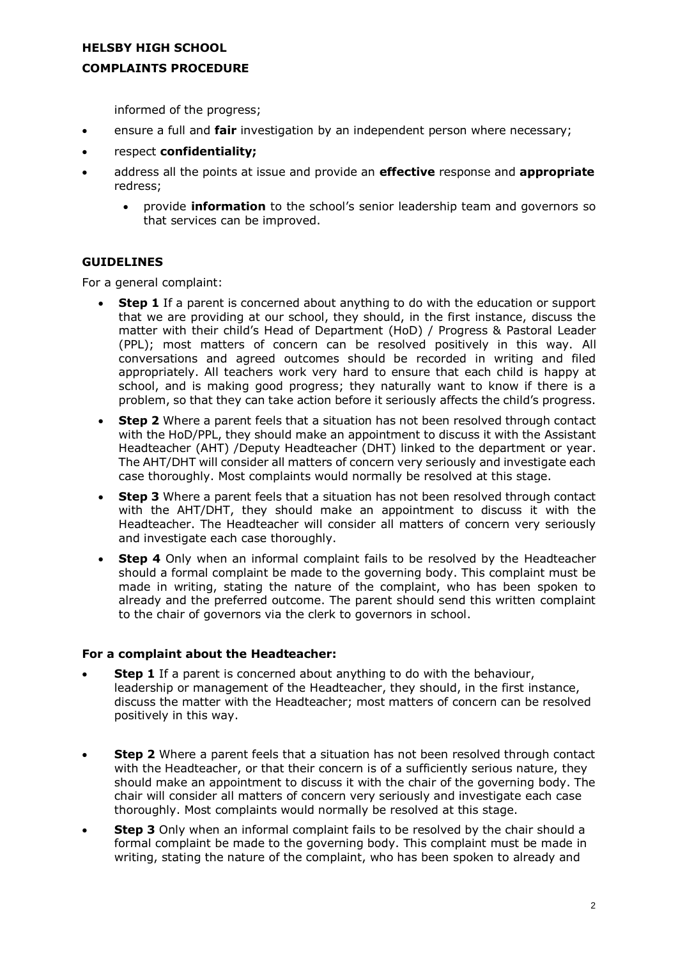#### **COMPLAINTS PROCEDURE**

informed of the progress;

- ensure a full and **fair** investigation by an independent person where necessary;
- respect **confidentiality;**
- address all the points at issue and provide an **effective** response and **appropriate**  redress;
	- provide **information** to the school's senior leadership team and governors so that services can be improved.

#### **GUIDELINES**

For a general complaint:

- **Step 1** If a parent is concerned about anything to do with the education or support that we are providing at our school, they should, in the first instance, discuss the matter with their child's Head of Department (HoD) / Progress & Pastoral Leader (PPL); most matters of concern can be resolved positively in this way. All conversations and agreed outcomes should be recorded in writing and filed appropriately. All teachers work very hard to ensure that each child is happy at school, and is making good progress; they naturally want to know if there is a problem, so that they can take action before it seriously affects the child's progress.
- **Step 2** Where a parent feels that a situation has not been resolved through contact with the HoD/PPL, they should make an appointment to discuss it with the Assistant Headteacher (AHT) /Deputy Headteacher (DHT) linked to the department or year. The AHT/DHT will consider all matters of concern very seriously and investigate each case thoroughly. Most complaints would normally be resolved at this stage.
- **Step 3** Where a parent feels that a situation has not been resolved through contact with the AHT/DHT, they should make an appointment to discuss it with the Headteacher. The Headteacher will consider all matters of concern very seriously and investigate each case thoroughly.
- **Step 4** Only when an informal complaint fails to be resolved by the Headteacher should a formal complaint be made to the governing body. This complaint must be made in writing, stating the nature of the complaint, who has been spoken to already and the preferred outcome. The parent should send this written complaint to the chair of governors via the clerk to governors in school.

#### **For a complaint about the Headteacher:**

- **Step 1** If a parent is concerned about anything to do with the behaviour, leadership or management of the Headteacher, they should, in the first instance, discuss the matter with the Headteacher; most matters of concern can be resolved positively in this way.
- **Step 2** Where a parent feels that a situation has not been resolved through contact with the Headteacher, or that their concern is of a sufficiently serious nature, they should make an appointment to discuss it with the chair of the governing body. The chair will consider all matters of concern very seriously and investigate each case thoroughly. Most complaints would normally be resolved at this stage.
- **Step 3** Only when an informal complaint fails to be resolved by the chair should a formal complaint be made to the governing body. This complaint must be made in writing, stating the nature of the complaint, who has been spoken to already and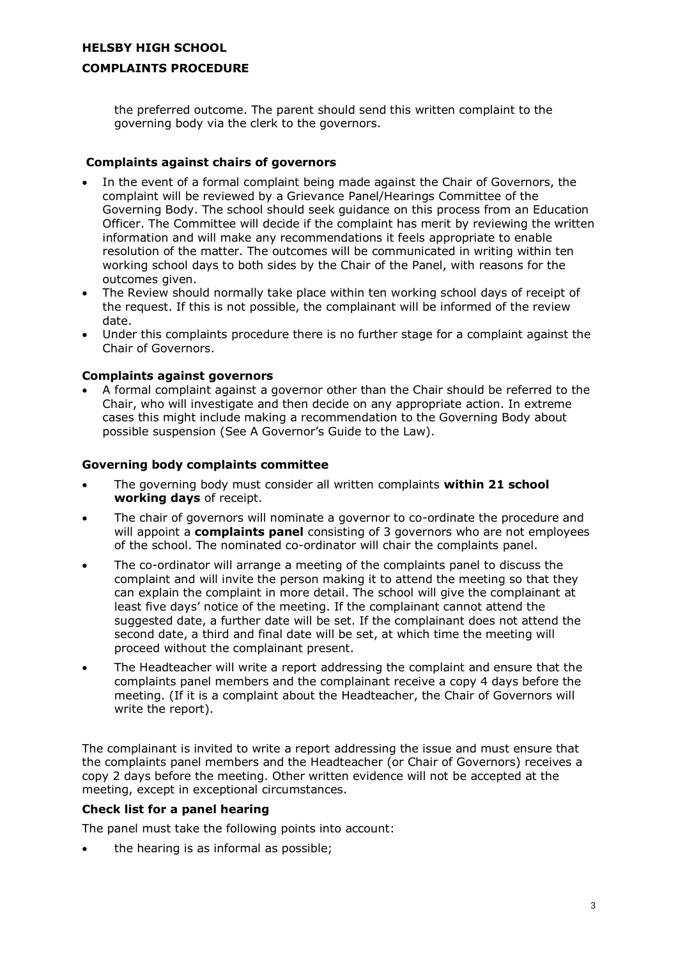# **HELSBY HIGH SCHOOL COMPLAINTS PROCEDURE**

the preferred outcome. The parent should send this written complaint to the governing body via the clerk to the governors.

## **Complaints against chairs of governors**

- In the event of a formal complaint being made against the Chair of Governors, the complaint will be reviewed by a Grievance Panel/Hearings Committee of the Governing Body. The school should seek guidance on this process from an Education Officer. The Committee will decide if the complaint has merit by reviewing the written information and will make any recommendations it feels appropriate to enable resolution of the matter. The outcomes will be communicated in writing within ten working school days to both sides by the Chair of the Panel, with reasons for the outcomes given.
- The Review should normally take place within ten working school days of receipt of the request. If this is not possible, the complainant will be informed of the review date.
- Under this complaints procedure there is no further stage for a complaint against the Chair of Governors.

## **Complaints against governors**

 A formal complaint against a governor other than the Chair should be referred to the Chair, who will investigate and then decide on any appropriate action. In extreme cases this might include making a recommendation to the Governing Body about possible suspension (See A Governor's Guide to the Law).

## **Governing body complaints committee**

- The governing body must consider all written complaints **within 21 school working days** of receipt.
- The chair of governors will nominate a governor to co-ordinate the procedure and will appoint a **complaints panel** consisting of 3 governors who are not employees of the school. The nominated co-ordinator will chair the complaints panel.
- The co-ordinator will arrange a meeting of the complaints panel to discuss the complaint and will invite the person making it to attend the meeting so that they can explain the complaint in more detail. The school will give the complainant at least five days' notice of the meeting. If the complainant cannot attend the suggested date, a further date will be set. If the complainant does not attend the second date, a third and final date will be set, at which time the meeting will proceed without the complainant present.
- The Headteacher will write a report addressing the complaint and ensure that the complaints panel members and the complainant receive a copy 4 days before the meeting. (If it is a complaint about the Headteacher, the Chair of Governors will write the report).

The complainant is invited to write a report addressing the issue and must ensure that the complaints panel members and the Headteacher (or Chair of Governors) receives a copy 2 days before the meeting. Other written evidence will not be accepted at the meeting, except in exceptional circumstances.

## **Check list for a panel hearing**

The panel must take the following points into account:

the hearing is as informal as possible;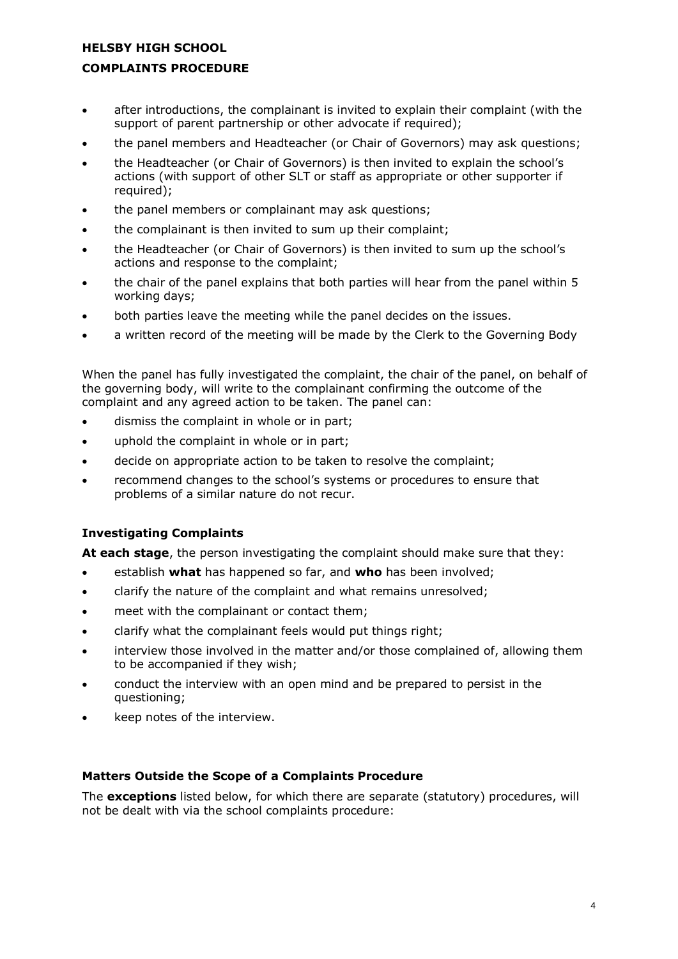## **COMPLAINTS PROCEDURE**

- after introductions, the complainant is invited to explain their complaint (with the support of parent partnership or other advocate if required);
- the panel members and Headteacher (or Chair of Governors) may ask questions;
- the Headteacher (or Chair of Governors) is then invited to explain the school's actions (with support of other SLT or staff as appropriate or other supporter if required);
- the panel members or complainant may ask questions;
- the complainant is then invited to sum up their complaint;
- the Headteacher (or Chair of Governors) is then invited to sum up the school's actions and response to the complaint;
- the chair of the panel explains that both parties will hear from the panel within 5 working days;
- both parties leave the meeting while the panel decides on the issues.
- a written record of the meeting will be made by the Clerk to the Governing Body

When the panel has fully investigated the complaint, the chair of the panel, on behalf of the governing body, will write to the complainant confirming the outcome of the complaint and any agreed action to be taken. The panel can:

- dismiss the complaint in whole or in part;
- uphold the complaint in whole or in part;
- decide on appropriate action to be taken to resolve the complaint;
- recommend changes to the school's systems or procedures to ensure that problems of a similar nature do not recur.

## **Investigating Complaints**

**At each stage**, the person investigating the complaint should make sure that they:

- establish **what** has happened so far, and **who** has been involved;
- clarify the nature of the complaint and what remains unresolved;
- meet with the complainant or contact them;
- clarify what the complainant feels would put things right;
- interview those involved in the matter and/or those complained of, allowing them to be accompanied if they wish;
- conduct the interview with an open mind and be prepared to persist in the questioning;
- keep notes of the interview.

## **Matters Outside the Scope of a Complaints Procedure**

The **exceptions** listed below, for which there are separate (statutory) procedures, will not be dealt with via the school complaints procedure: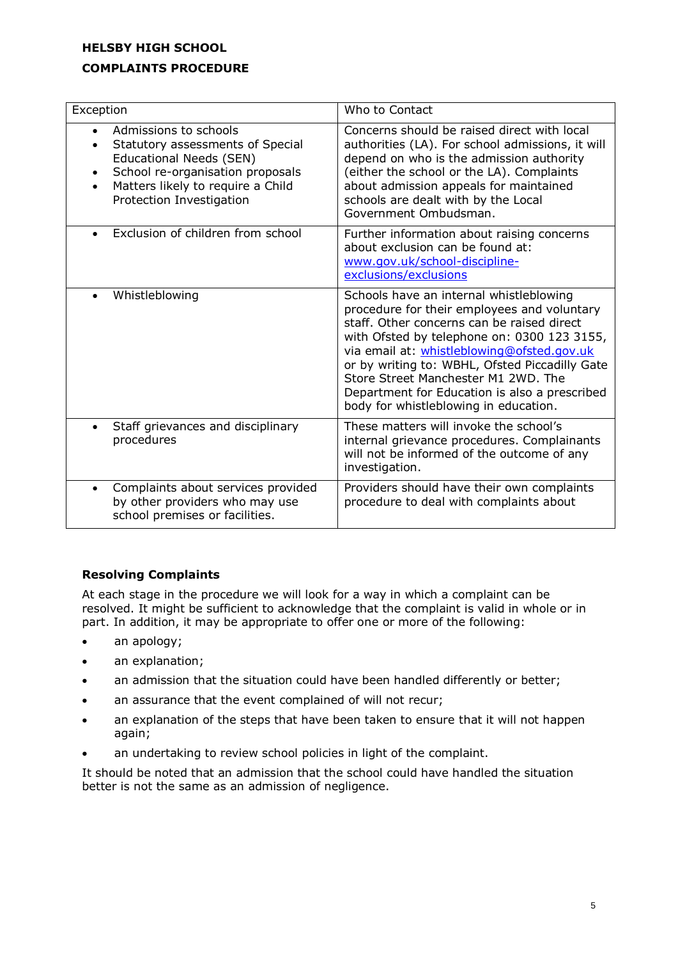## **COMPLAINTS PROCEDURE**

| Exception                                                                                                                                                                                 | Who to Contact                                                                                                                                                                                                                                                                                                                                                                                                       |
|-------------------------------------------------------------------------------------------------------------------------------------------------------------------------------------------|----------------------------------------------------------------------------------------------------------------------------------------------------------------------------------------------------------------------------------------------------------------------------------------------------------------------------------------------------------------------------------------------------------------------|
| Admissions to schools<br>Statutory assessments of Special<br>Educational Needs (SEN)<br>School re-organisation proposals<br>Matters likely to require a Child<br>Protection Investigation | Concerns should be raised direct with local<br>authorities (LA). For school admissions, it will<br>depend on who is the admission authority<br>(either the school or the LA). Complaints<br>about admission appeals for maintained<br>schools are dealt with by the Local<br>Government Ombudsman.                                                                                                                   |
| Exclusion of children from school                                                                                                                                                         | Further information about raising concerns<br>about exclusion can be found at:<br>www.gov.uk/school-discipline-<br>exclusions/exclusions                                                                                                                                                                                                                                                                             |
| Whistleblowing                                                                                                                                                                            | Schools have an internal whistleblowing<br>procedure for their employees and voluntary<br>staff. Other concerns can be raised direct<br>with Ofsted by telephone on: 0300 123 3155,<br>via email at: whistleblowing@ofsted.gov.uk<br>or by writing to: WBHL, Ofsted Piccadilly Gate<br>Store Street Manchester M1 2WD, The<br>Department for Education is also a prescribed<br>body for whistleblowing in education. |
| Staff grievances and disciplinary<br>procedures                                                                                                                                           | These matters will invoke the school's<br>internal grievance procedures. Complainants<br>will not be informed of the outcome of any<br>investigation.                                                                                                                                                                                                                                                                |
| Complaints about services provided<br>by other providers who may use<br>school premises or facilities.                                                                                    | Providers should have their own complaints<br>procedure to deal with complaints about                                                                                                                                                                                                                                                                                                                                |

# **Resolving Complaints**

At each stage in the procedure we will look for a way in which a complaint can be resolved. It might be sufficient to acknowledge that the complaint is valid in whole or in part. In addition, it may be appropriate to offer one or more of the following:

- an apology;
- an explanation;
- an admission that the situation could have been handled differently or better;
- an assurance that the event complained of will not recur;
- an explanation of the steps that have been taken to ensure that it will not happen again;
- an undertaking to review school policies in light of the complaint.

It should be noted that an admission that the school could have handled the situation better is not the same as an admission of negligence.